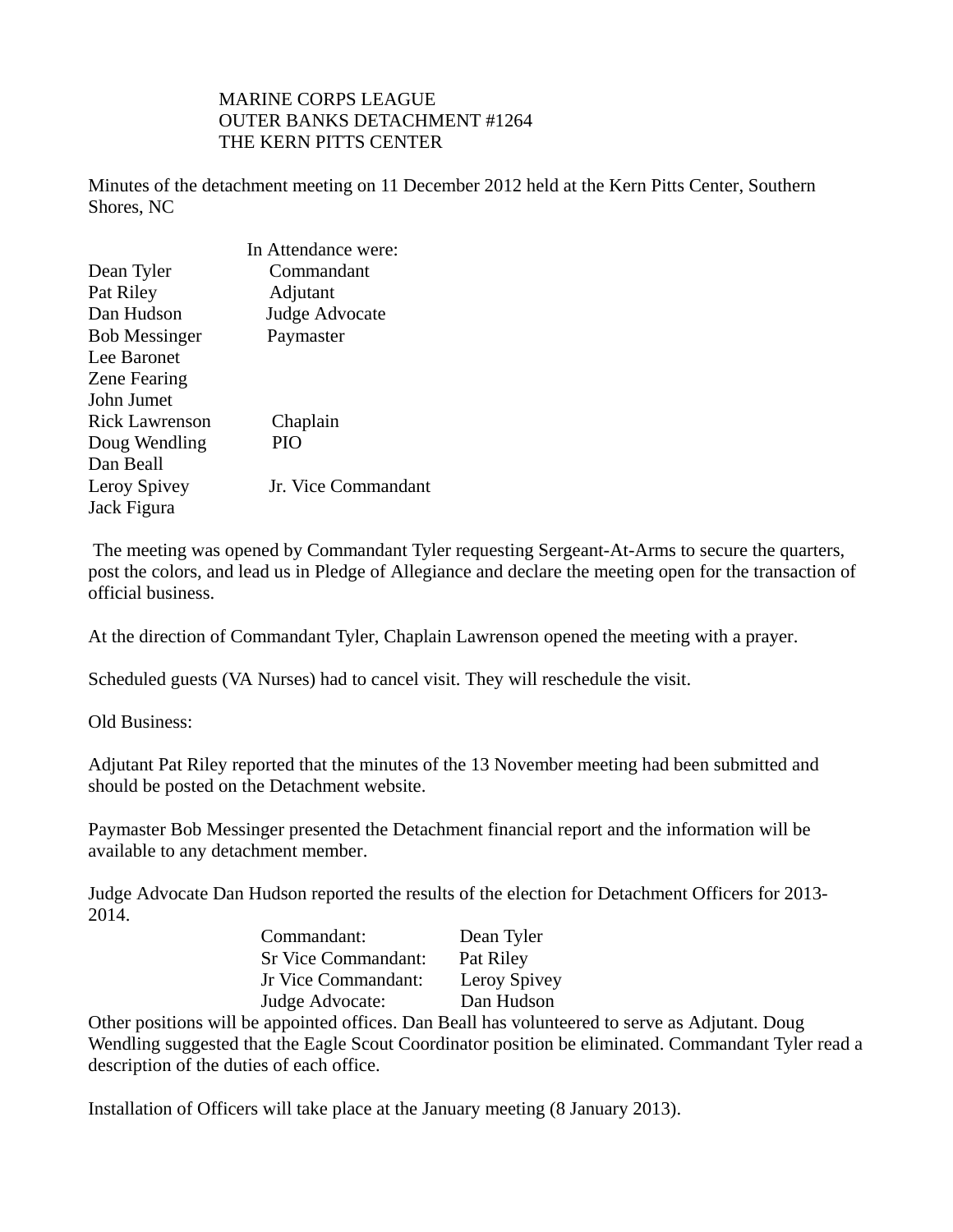## MARINE CORPS LEAGUE OUTER BANKS DETACHMENT #1264 THE KERN PITTS CENTER

Minutes of the detachment meeting on 11 December 2012 held at the Kern Pitts Center, Southern Shores, NC

|                      | In Attendance were: |
|----------------------|---------------------|
| Dean Tyler           | Commandant          |
| Pat Riley            | Adjutant            |
| Dan Hudson           | Judge Advocate      |
| <b>Bob Messinger</b> | Paymaster           |
| Lee Baronet          |                     |
| Zene Fearing         |                     |
| John Jumet           |                     |
| Rick Lawrenson       | Chaplain            |
| Doug Wendling        | <b>PIO</b>          |
| Dan Beall            |                     |
| Leroy Spivey         | Jr. Vice Commandant |
| Jack Figura          |                     |

 The meeting was opened by Commandant Tyler requesting Sergeant-At-Arms to secure the quarters, post the colors, and lead us in Pledge of Allegiance and declare the meeting open for the transaction of official business.

At the direction of Commandant Tyler, Chaplain Lawrenson opened the meeting with a prayer.

Scheduled guests (VA Nurses) had to cancel visit. They will reschedule the visit.

Old Business:

Adjutant Pat Riley reported that the minutes of the 13 November meeting had been submitted and should be posted on the Detachment website.

Paymaster Bob Messinger presented the Detachment financial report and the information will be available to any detachment member.

Judge Advocate Dan Hudson reported the results of the election for Detachment Officers for 2013- 2014.

| Commandant:                | Dean Tyler   |
|----------------------------|--------------|
| <b>Sr Vice Commandant:</b> | Pat Riley    |
| Jr Vice Commandant:        | Leroy Spivey |
| Judge Advocate:            | Dan Hudson   |

Other positions will be appointed offices. Dan Beall has volunteered to serve as Adjutant. Doug Wendling suggested that the Eagle Scout Coordinator position be eliminated. Commandant Tyler read a description of the duties of each office.

Installation of Officers will take place at the January meeting (8 January 2013).